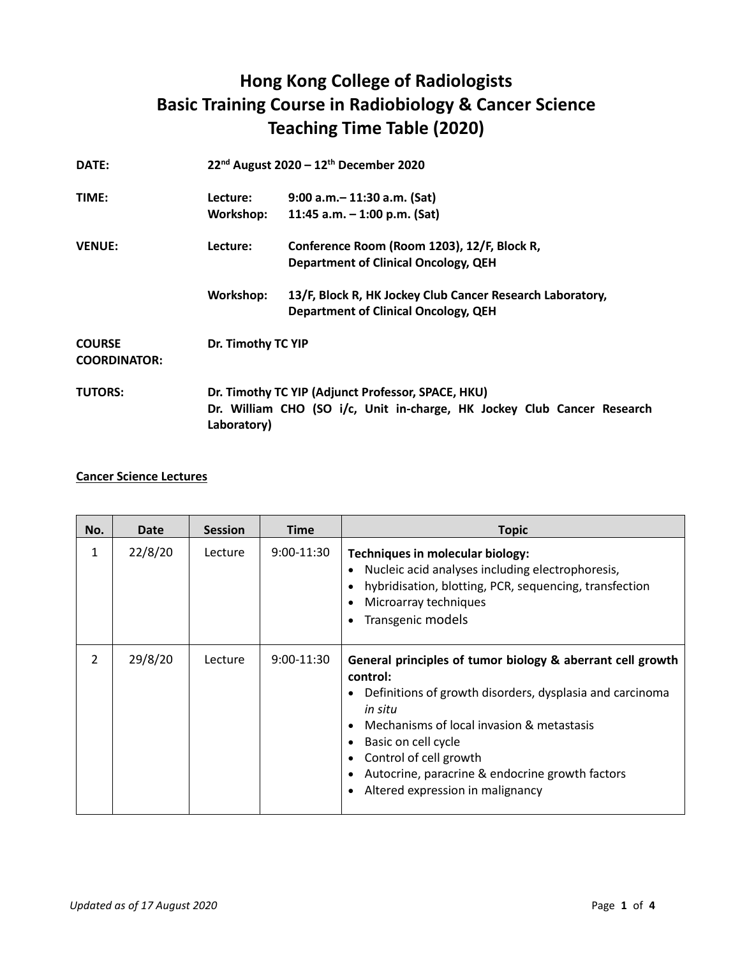## **Hong Kong College of Radiologists Basic Training Course in Radiobiology & Cancer Science Teaching Time Table (2020)**

| DATE:                                |                                                                                                                                              | $22^{nd}$ August 2020 – 12 <sup>th</sup> December 2020                                                   |  |  |
|--------------------------------------|----------------------------------------------------------------------------------------------------------------------------------------------|----------------------------------------------------------------------------------------------------------|--|--|
| TIME:                                | Lecture:                                                                                                                                     | 9:00 a.m. - 11:30 a.m. (Sat)                                                                             |  |  |
|                                      | Workshop:                                                                                                                                    | 11:45 a.m. $-$ 1:00 p.m. (Sat)                                                                           |  |  |
| <b>VENUE:</b>                        | Lecture:                                                                                                                                     | Conference Room (Room 1203), 12/F, Block R,                                                              |  |  |
|                                      |                                                                                                                                              | <b>Department of Clinical Oncology, QEH</b>                                                              |  |  |
|                                      | Workshop:                                                                                                                                    | 13/F, Block R, HK Jockey Club Cancer Research Laboratory,<br><b>Department of Clinical Oncology, QEH</b> |  |  |
| <b>COURSE</b><br><b>COORDINATOR:</b> | Dr. Timothy TC YIP                                                                                                                           |                                                                                                          |  |  |
| <b>TUTORS:</b>                       | Dr. Timothy TC YIP (Adjunct Professor, SPACE, HKU)<br>Dr. William CHO (SO i/c, Unit in-charge, HK Jockey Club Cancer Research<br>Laboratory) |                                                                                                          |  |  |

## **Cancer Science Lectures**

| No. | Date    | <b>Session</b> | <b>Time</b>  | <b>Topic</b>                                                                                                                                                                                                                                                                                                                                                              |
|-----|---------|----------------|--------------|---------------------------------------------------------------------------------------------------------------------------------------------------------------------------------------------------------------------------------------------------------------------------------------------------------------------------------------------------------------------------|
| 1   | 22/8/20 | Lecture        | $9:00-11:30$ | Techniques in molecular biology:<br>Nucleic acid analyses including electrophoresis,<br>hybridisation, blotting, PCR, sequencing, transfection<br>$\bullet$<br>Microarray techniques<br>$\bullet$<br>Transgenic models<br>$\bullet$                                                                                                                                       |
| 2   | 29/8/20 | Lecture        | $9:00-11:30$ | General principles of tumor biology & aberrant cell growth<br>control:<br>Definitions of growth disorders, dysplasia and carcinoma<br>in situ<br>Mechanisms of local invasion & metastasis<br>Basic on cell cycle<br>$\bullet$<br>Control of cell growth<br>Autocrine, paracrine & endocrine growth factors<br>$\bullet$<br>Altered expression in malignancy<br>$\bullet$ |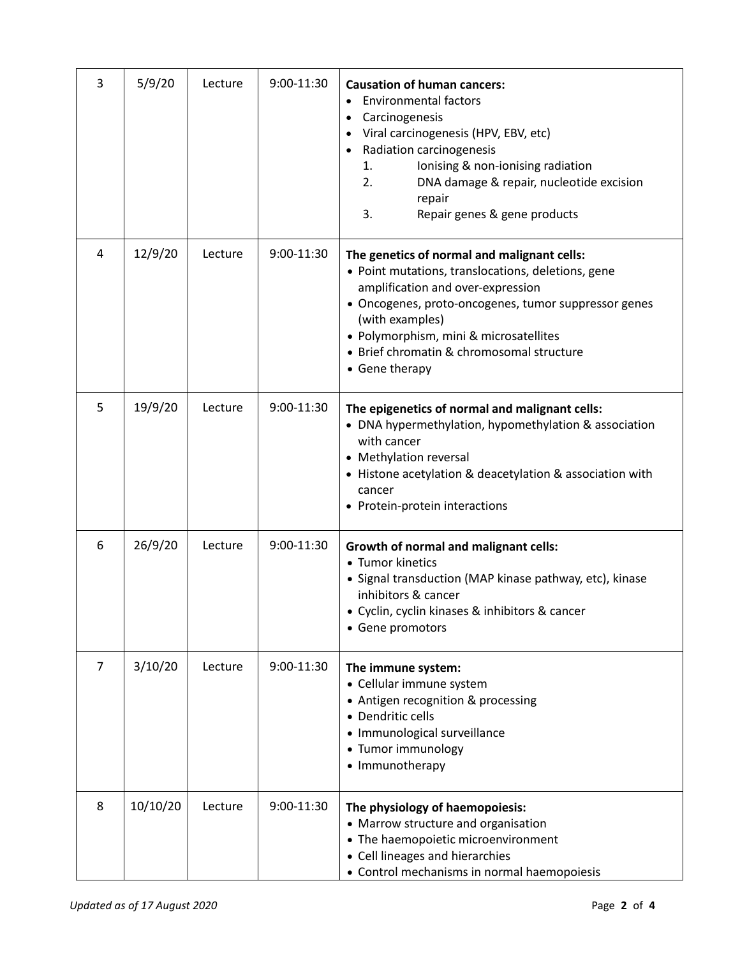| 3 | 5/9/20   | Lecture | 9:00-11:30 | <b>Causation of human cancers:</b><br><b>Environmental factors</b><br>Carcinogenesis<br>$\bullet$<br>Viral carcinogenesis (HPV, EBV, etc)<br>Radiation carcinogenesis<br>$\bullet$<br>Ionising & non-ionising radiation<br>1.<br>2.<br>DNA damage & repair, nucleotide excision<br>repair<br>3.<br>Repair genes & gene products |
|---|----------|---------|------------|---------------------------------------------------------------------------------------------------------------------------------------------------------------------------------------------------------------------------------------------------------------------------------------------------------------------------------|
| 4 | 12/9/20  | Lecture | 9:00-11:30 | The genetics of normal and malignant cells:<br>• Point mutations, translocations, deletions, gene<br>amplification and over-expression<br>• Oncogenes, proto-oncogenes, tumor suppressor genes<br>(with examples)<br>• Polymorphism, mini & microsatellites<br>• Brief chromatin & chromosomal structure<br>• Gene therapy      |
| 5 | 19/9/20  | Lecture | 9:00-11:30 | The epigenetics of normal and malignant cells:<br>• DNA hypermethylation, hypomethylation & association<br>with cancer<br>• Methylation reversal<br>• Histone acetylation & deacetylation & association with<br>cancer<br>• Protein-protein interactions                                                                        |
| 6 | 26/9/20  | Lecture | 9:00-11:30 | <b>Growth of normal and malignant cells:</b><br>• Tumor kinetics<br>• Signal transduction (MAP kinase pathway, etc), kinase<br>inhibitors & cancer<br>· Cyclin, cyclin kinases & inhibitors & cancer<br>• Gene promotors                                                                                                        |
| 7 | 3/10/20  | Lecture | 9:00-11:30 | The immune system:<br>• Cellular immune system<br>• Antigen recognition & processing<br>• Dendritic cells<br>· Immunological surveillance<br>• Tumor immunology<br>• Immunotherapy                                                                                                                                              |
| 8 | 10/10/20 | Lecture | 9:00-11:30 | The physiology of haemopoiesis:<br>• Marrow structure and organisation<br>• The haemopoietic microenvironment<br>• Cell lineages and hierarchies<br>• Control mechanisms in normal haemopoiesis                                                                                                                                 |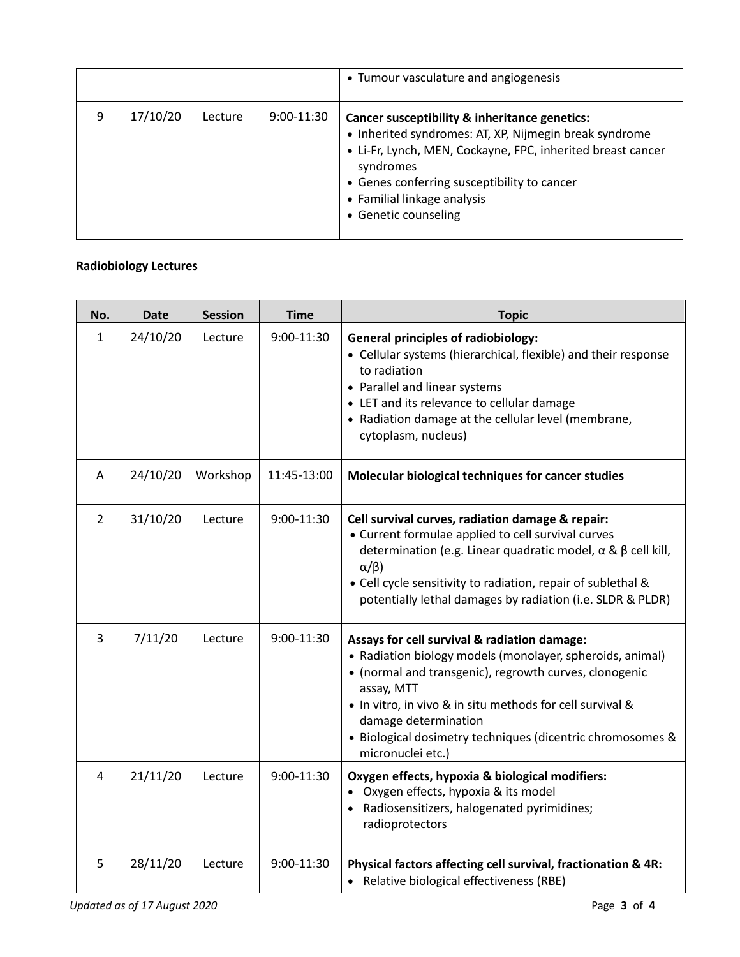|   |          |         |              | • Tumour vasculature and angiogenesis                                                                                                                                                                                                                                                     |
|---|----------|---------|--------------|-------------------------------------------------------------------------------------------------------------------------------------------------------------------------------------------------------------------------------------------------------------------------------------------|
| q | 17/10/20 | Lecture | $9:00-11:30$ | Cancer susceptibility & inheritance genetics:<br>• Inherited syndromes: AT, XP, Nijmegin break syndrome<br>• Li-Fr, Lynch, MEN, Cockayne, FPC, inherited breast cancer<br>syndromes<br>• Genes conferring susceptibility to cancer<br>• Familial linkage analysis<br>• Genetic counseling |

## **Radiobiology Lectures**

| No.            | <b>Date</b> | <b>Session</b> | <b>Time</b> | <b>Topic</b>                                                                                                                                                                                                                                                                                                                                              |
|----------------|-------------|----------------|-------------|-----------------------------------------------------------------------------------------------------------------------------------------------------------------------------------------------------------------------------------------------------------------------------------------------------------------------------------------------------------|
| $\mathbf{1}$   | 24/10/20    | Lecture        | 9:00-11:30  | <b>General principles of radiobiology:</b><br>• Cellular systems (hierarchical, flexible) and their response<br>to radiation<br>• Parallel and linear systems<br>• LET and its relevance to cellular damage<br>• Radiation damage at the cellular level (membrane,<br>cytoplasm, nucleus)                                                                 |
| Α              | 24/10/20    | Workshop       | 11:45-13:00 | Molecular biological techniques for cancer studies                                                                                                                                                                                                                                                                                                        |
| $\overline{2}$ | 31/10/20    | Lecture        | 9:00-11:30  | Cell survival curves, radiation damage & repair:<br>• Current formulae applied to cell survival curves<br>determination (e.g. Linear quadratic model, $\alpha$ & $\beta$ cell kill,<br>$\alpha/\beta$ )<br>• Cell cycle sensitivity to radiation, repair of sublethal &<br>potentially lethal damages by radiation (i.e. SLDR & PLDR)                     |
| $\overline{3}$ | 7/11/20     | Lecture        | 9:00-11:30  | Assays for cell survival & radiation damage:<br>• Radiation biology models (monolayer, spheroids, animal)<br>• (normal and transgenic), regrowth curves, clonogenic<br>assay, MTT<br>. In vitro, in vivo & in situ methods for cell survival &<br>damage determination<br>· Biological dosimetry techniques (dicentric chromosomes &<br>micronuclei etc.) |
| 4              | 21/11/20    | Lecture        | 9:00-11:30  | Oxygen effects, hypoxia & biological modifiers:<br>• Oxygen effects, hypoxia & its model<br>• Radiosensitizers, halogenated pyrimidines;<br>radioprotectors                                                                                                                                                                                               |
| 5              | 28/11/20    | Lecture        | 9:00-11:30  | Physical factors affecting cell survival, fractionation & 4R:<br>Relative biological effectiveness (RBE)                                                                                                                                                                                                                                                  |